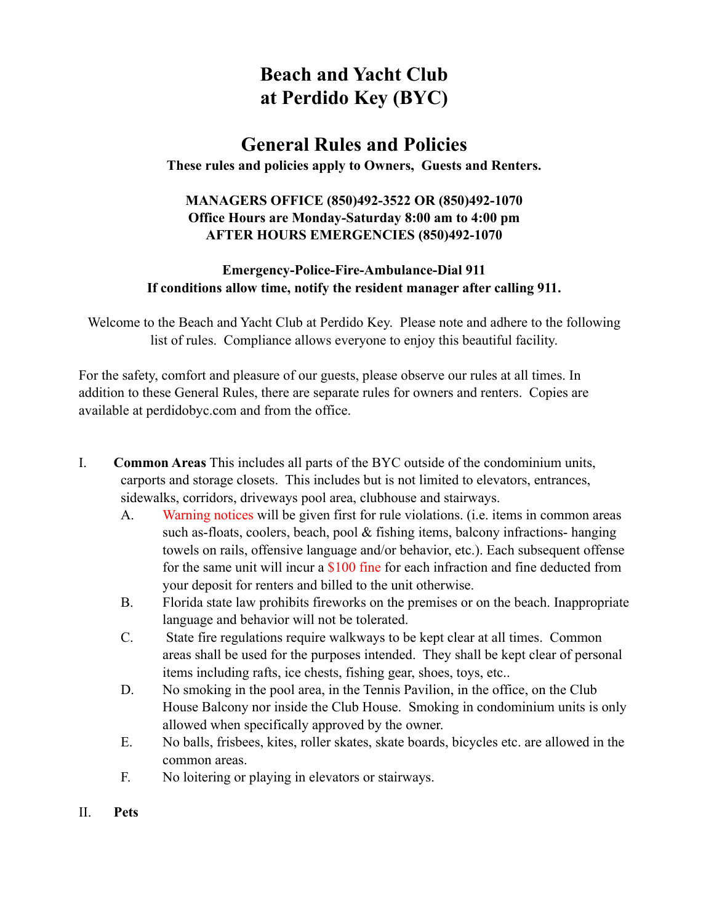# **Beach and Yacht Club at Perdido Key (BYC)**

## **General Rules and Policies**

**These rules and policies apply to Owners, Guests and Renters.**

#### **MANAGERS OFFICE (850)492-3522 OR (850)492-1070 Office Hours are Monday-Saturday 8:00 am to 4:00 pm AFTER HOURS EMERGENCIES (850)492-1070**

#### **Emergency-Police-Fire-Ambulance-Dial 911 If conditions allow time, notify the resident manager after calling 911.**

Welcome to the Beach and Yacht Club at Perdido Key. Please note and adhere to the following list of rules. Compliance allows everyone to enjoy this beautiful facility.

For the safety, comfort and pleasure of our guests, please observe our rules at all times. In addition to these General Rules, there are separate rules for owners and renters. Copies are available at perdidobyc.com and from the office.

- I. **Common Areas** This includes all parts of the BYC outside of the condominium units, carports and storage closets. This includes but is not limited to elevators, entrances, sidewalks, corridors, driveways pool area, clubhouse and stairways.
	- A. Warning notices will be given first for rule violations. (i.e. items in common areas such as-floats, coolers, beach, pool & fishing items, balcony infractions- hanging towels on rails, offensive language and/or behavior, etc.). Each subsequent offense for the same unit will incur a \$100 fine for each infraction and fine deducted from your deposit for renters and billed to the unit otherwise.
	- B. Florida state law prohibits fireworks on the premises or on the beach. Inappropriate language and behavior will not be tolerated.
	- C. State fire regulations require walkways to be kept clear at all times. Common areas shall be used for the purposes intended. They shall be kept clear of personal items including rafts, ice chests, fishing gear, shoes, toys, etc..
	- D. No smoking in the pool area, in the Tennis Pavilion, in the office, on the Club House Balcony nor inside the Club House. Smoking in condominium units is only allowed when specifically approved by the owner.
	- E. No balls, frisbees, kites, roller skates, skate boards, bicycles etc. are allowed in the common areas.
	- F. No loitering or playing in elevators or stairways.
- II. **Pets**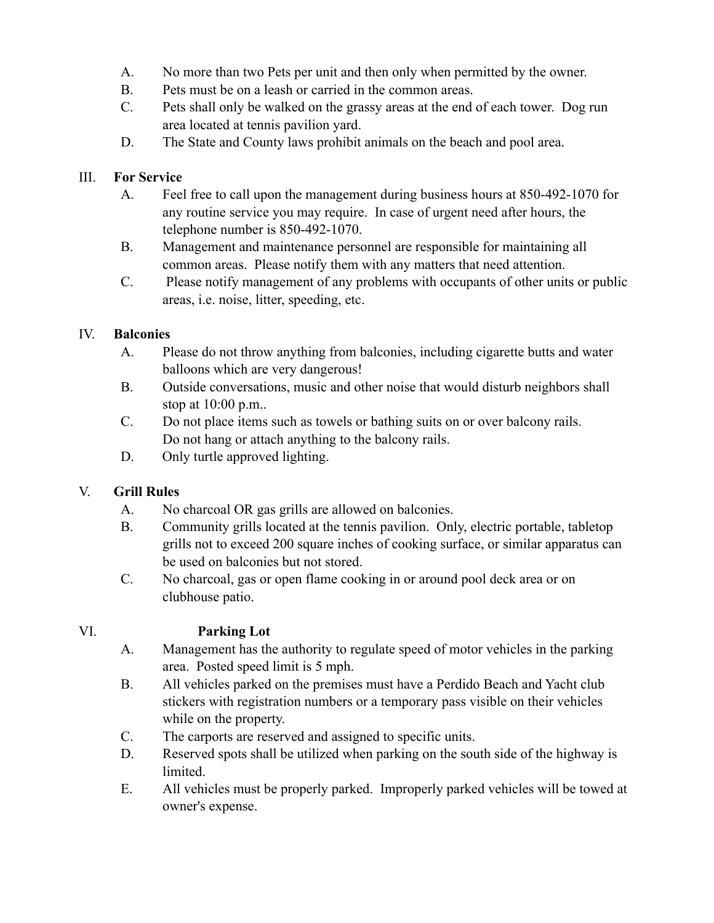- A. No more than two Pets per unit and then only when permitted by the owner.
- B. Pets must be on a leash or carried in the common areas.
- C. Pets shall only be walked on the grassy areas at the end of each tower. Dog run area located at tennis pavilion yard.
- D. The State and County laws prohibit animals on the beach and pool area.

#### III. **For Service**

- A. Feel free to call upon the management during business hours at 850-492-1070 for any routine service you may require. In case of urgent need after hours, the telephone number is 850-492-1070.
- B. Management and maintenance personnel are responsible for maintaining all common areas. Please notify them with any matters that need attention.
- C. Please notify management of any problems with occupants of other units or public areas, i.e. noise, litter, speeding, etc.

#### IV. **Balconies**

- A. Please do not throw anything from balconies, including cigarette butts and water balloons which are very dangerous!
- B. Outside conversations, music and other noise that would disturb neighbors shall stop at 10:00 p.m..
- C. Do not place items such as towels or bathing suits on or over balcony rails. Do not hang or attach anything to the balcony rails.
- D. Only turtle approved lighting.

### V. **Grill Rules**

- A. No charcoal OR gas grills are allowed on balconies.
- B. Community grills located at the tennis pavilion. Only, electric portable, tabletop grills not to exceed 200 square inches of cooking surface, or similar apparatus can be used on balconies but not stored.
- C. No charcoal, gas or open flame cooking in or around pool deck area or on clubhouse patio.

### VI. **Parking Lot**

- A. Management has the authority to regulate speed of motor vehicles in the parking area. Posted speed limit is 5 mph.
- B. All vehicles parked on the premises must have a Perdido Beach and Yacht club stickers with registration numbers or a temporary pass visible on their vehicles while on the property.
- C. The carports are reserved and assigned to specific units.
- D. Reserved spots shall be utilized when parking on the south side of the highway is limited.
- E. All vehicles must be properly parked. Improperly parked vehicles will be towed at owner's expense.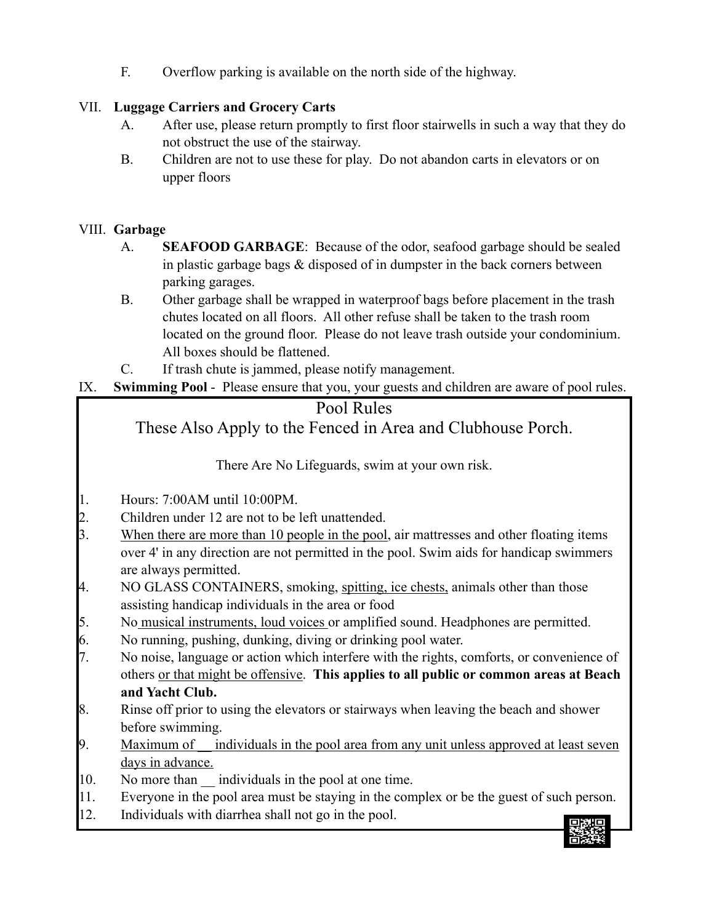F. Overflow parking is available on the north side of the highway.

### VII. **Luggage Carriers and Grocery Carts**

- A. After use, please return promptly to first floor stairwells in such a way that they do not obstruct the use of the stairway.
- B. Children are not to use these for play. Do not abandon carts in elevators or on upper floors

#### VIII. **Garbage**

- A. **SEAFOOD GARBAGE**: Because of the odor, seafood garbage should be sealed in plastic garbage bags & disposed of in dumpster in the back corners between parking garages.
- B. Other garbage shall be wrapped in waterproof bags before placement in the trash chutes located on all floors. All other refuse shall be taken to the trash room located on the ground floor. Please do not leave trash outside your condominium. All boxes should be flattened.
- C. If trash chute is jammed, please notify management.
- IX. **Swimming Pool** Please ensure that you, your guests and children are aware of pool rules.

# Pool Rules These Also Apply to the Fenced in Area and Clubhouse Porch.

There Are No Lifeguards, swim at your own risk.

1. Hours: 7:00AM until 10:00PM.

- 
- 2. Children under 12 are not to be left unattended.<br>3. When there are more than 10 people in the pool When there are more than 10 people in the pool, air mattresses and other floating items over 4' in any direction are not permitted in the pool. Swim aids for handicap swimmers are always permitted.
- 4. NO GLASS CONTAINERS, smoking, spitting, ice chests, animals other than those assisting handicap individuals in the area or food
- 5. No musical instruments, loud voices or amplified sound. Headphones are permitted.
- 6. No running, pushing, dunking, diving or drinking pool water.
- 7. No noise, language or action which interfere with the rights, comforts, or convenience of others or that might be offensive. **This applies to all public or common areas at Beach and Yacht Club.**
- 8. Rinse off prior to using the elevators or stairways when leaving the beach and shower before swimming.
- 9. Maximum of individuals in the pool area from any unit unless approved at least seven days in advance.
- 10. No more than \_\_ individuals in the pool at one time.
- 11. Everyone in the pool area must be staying in the complex or be the guest of such person.
- 12. Individuals with diarrhea shall not go in the pool.

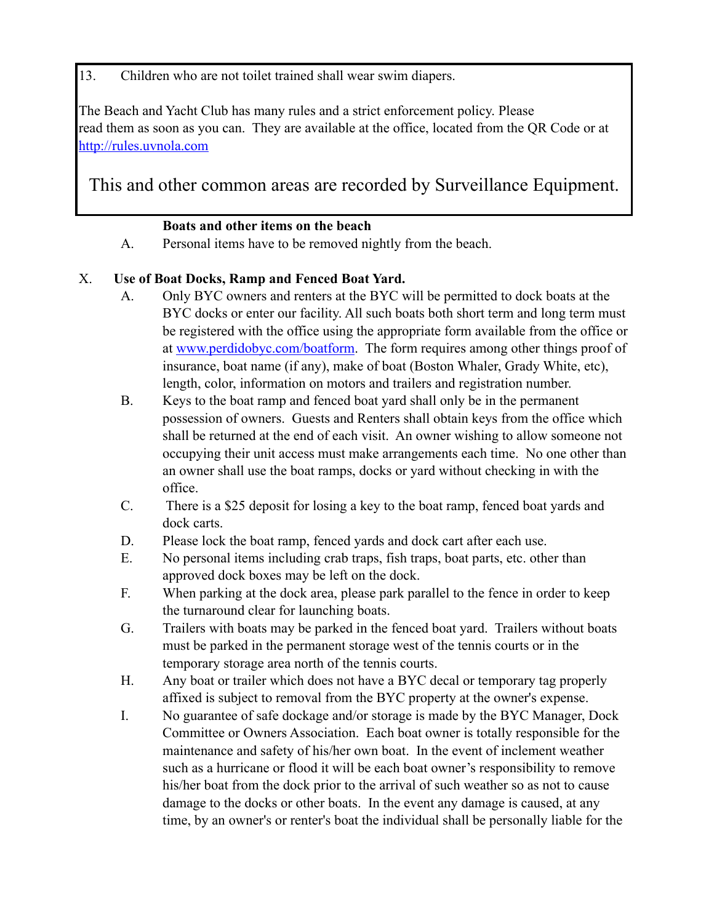13. Children who are not toilet trained shall wear swim diapers.

The Beach and Yacht Club has many rules and a strict enforcement policy. Please read them as soon as you can. They are available at the office, located from the QR Code or at http://rules.uvnola.com

This and other common areas are recorded by Surveillance Equipment.

#### **Boats and other items on the beach**

A. Personal items have to be removed nightly from the beach.

### X. **Use of Boat Docks, Ramp and Fenced Boat Yard.**

- A. Only BYC owners and renters at the BYC will be permitted to dock boats at the BYC docks or enter our facility. All such boats both short term and long term must be registered with the office using the appropriate form available from the office or at www.perdidobyc.com/boatform. The form requires among other things proof of insurance, boat name (if any), make of boat (Boston Whaler, Grady White, etc), length, color, information on motors and trailers and registration number.
- B. Keys to the boat ramp and fenced boat yard shall only be in the permanent possession of owners. Guests and Renters shall obtain keys from the office which shall be returned at the end of each visit. An owner wishing to allow someone not occupying their unit access must make arrangements each time. No one other than an owner shall use the boat ramps, docks or yard without checking in with the office.
- C. There is a \$25 deposit for losing a key to the boat ramp, fenced boat yards and dock carts.
- D. Please lock the boat ramp, fenced yards and dock cart after each use.
- E. No personal items including crab traps, fish traps, boat parts, etc. other than approved dock boxes may be left on the dock.
- F. When parking at the dock area, please park parallel to the fence in order to keep the turnaround clear for launching boats.
- G. Trailers with boats may be parked in the fenced boat yard. Trailers without boats must be parked in the permanent storage west of the tennis courts or in the temporary storage area north of the tennis courts.
- H. Any boat or trailer which does not have a BYC decal or temporary tag properly affixed is subject to removal from the BYC property at the owner's expense.
- I. No guarantee of safe dockage and/or storage is made by the BYC Manager, Dock Committee or Owners Association. Each boat owner is totally responsible for the maintenance and safety of his/her own boat. In the event of inclement weather such as a hurricane or flood it will be each boat owner's responsibility to remove his/her boat from the dock prior to the arrival of such weather so as not to cause damage to the docks or other boats. In the event any damage is caused, at any time, by an owner's or renter's boat the individual shall be personally liable for the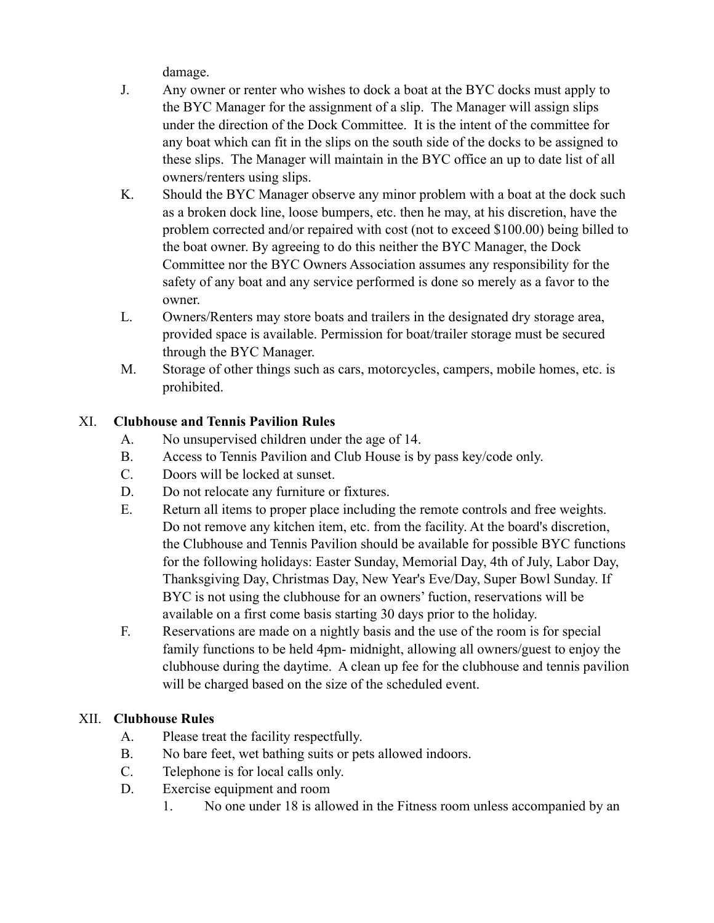damage.

- J. Any owner or renter who wishes to dock a boat at the BYC docks must apply to the BYC Manager for the assignment of a slip. The Manager will assign slips under the direction of the Dock Committee. It is the intent of the committee for any boat which can fit in the slips on the south side of the docks to be assigned to these slips. The Manager will maintain in the BYC office an up to date list of all owners/renters using slips.
- K. Should the BYC Manager observe any minor problem with a boat at the dock such as a broken dock line, loose bumpers, etc. then he may, at his discretion, have the problem corrected and/or repaired with cost (not to exceed \$100.00) being billed to the boat owner. By agreeing to do this neither the BYC Manager, the Dock Committee nor the BYC Owners Association assumes any responsibility for the safety of any boat and any service performed is done so merely as a favor to the owner.
- L. Owners/Renters may store boats and trailers in the designated dry storage area, provided space is available. Permission for boat/trailer storage must be secured through the BYC Manager.
- M. Storage of other things such as cars, motorcycles, campers, mobile homes, etc. is prohibited.

#### XI. **Clubhouse and Tennis Pavilion Rules**

- A. No unsupervised children under the age of 14.
- B. Access to Tennis Pavilion and Club House is by pass key/code only.
- C. Doors will be locked at sunset.
- D. Do not relocate any furniture or fixtures.
- E. Return all items to proper place including the remote controls and free weights. Do not remove any kitchen item, etc. from the facility. At the board's discretion, the Clubhouse and Tennis Pavilion should be available for possible BYC functions for the following holidays: Easter Sunday, Memorial Day, 4th of July, Labor Day, Thanksgiving Day, Christmas Day, New Year's Eve/Day, Super Bowl Sunday. If BYC is not using the clubhouse for an owners' fuction, reservations will be available on a first come basis starting 30 days prior to the holiday.
- F. Reservations are made on a nightly basis and the use of the room is for special family functions to be held 4pm- midnight, allowing all owners/guest to enjoy the clubhouse during the daytime. A clean up fee for the clubhouse and tennis pavilion will be charged based on the size of the scheduled event.

### XII. **Clubhouse Rules**

- A. Please treat the facility respectfully.
- B. No bare feet, wet bathing suits or pets allowed indoors.
- C. Telephone is for local calls only.
- D. Exercise equipment and room
	- 1. No one under 18 is allowed in the Fitness room unless accompanied by an